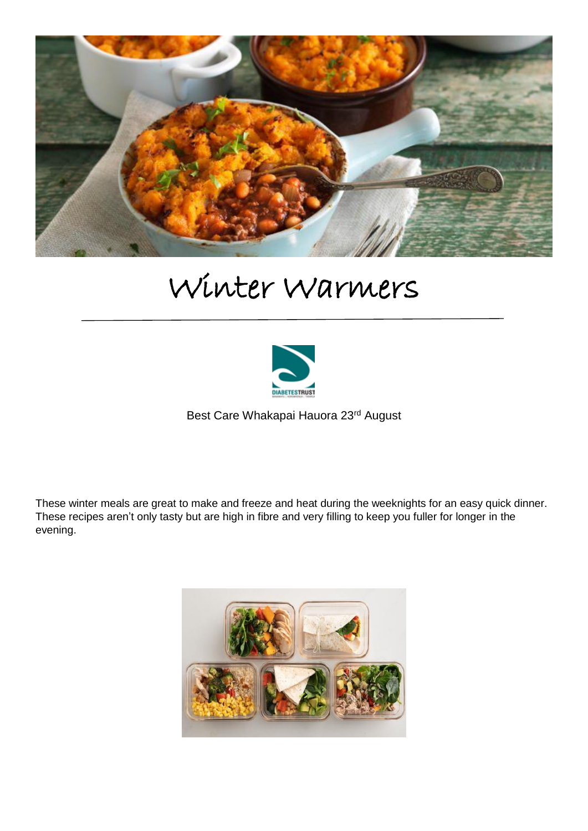

# Winter Warmers



Best Care Whakapai Hauora 23rd August

These winter meals are great to make and freeze and heat during the weeknights for an easy quick dinner. These recipes aren't only tasty but are high in fibre and very filling to keep you fuller for longer in the evening.

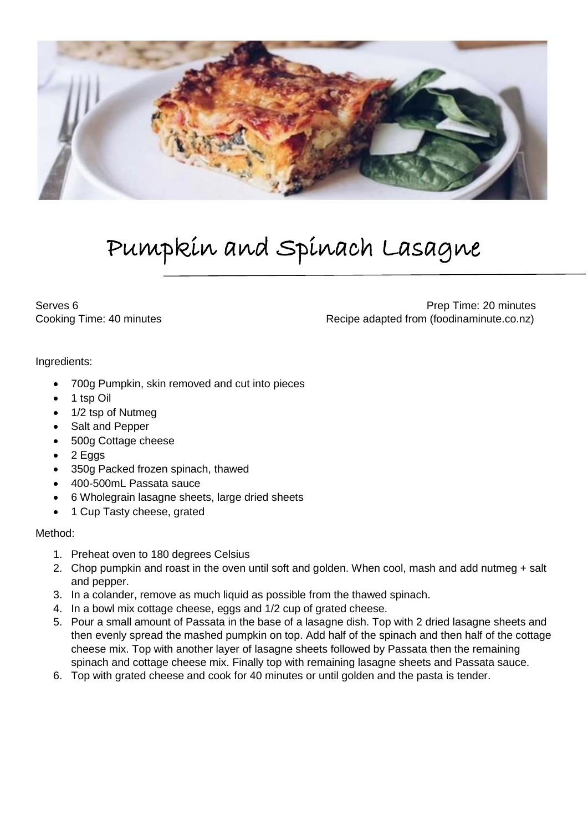

# Pumpkin and Spinach Lasagne

Serves 6 **Prep Time: 20 minutes** Cooking Time: 40 minutes **Recipe adapted from (foodinaminute.co.nz)** 

Ingredients:

- 700g Pumpkin, skin removed and cut into pieces
- 1 tsp Oil
- 1/2 tsp of Nutmeg
- Salt and Pepper
- 500g Cottage cheese
- $\bullet$  2 Eggs
- 350g Packed frozen spinach, thawed
- 400-500mL Passata sauce
- 6 Wholegrain lasagne sheets, large dried sheets
- 1 Cup Tasty cheese, grated

### Method:

- 1. Preheat oven to 180 degrees Celsius
- 2. Chop pumpkin and roast in the oven until soft and golden. When cool, mash and add nutmeg + salt and pepper.
- 3. In a colander, remove as much liquid as possible from the thawed spinach.
- 4. In a bowl mix cottage cheese, eggs and 1/2 cup of grated cheese.
- 5. Pour a small amount of Passata in the base of a lasagne dish. Top with 2 dried lasagne sheets and then evenly spread the mashed pumpkin on top. Add half of the spinach and then half of the cottage cheese mix. Top with another layer of lasagne sheets followed by Passata then the remaining spinach and cottage cheese mix. Finally top with remaining lasagne sheets and Passata sauce.
- 6. Top with grated cheese and cook for 40 minutes or until golden and the pasta is tender.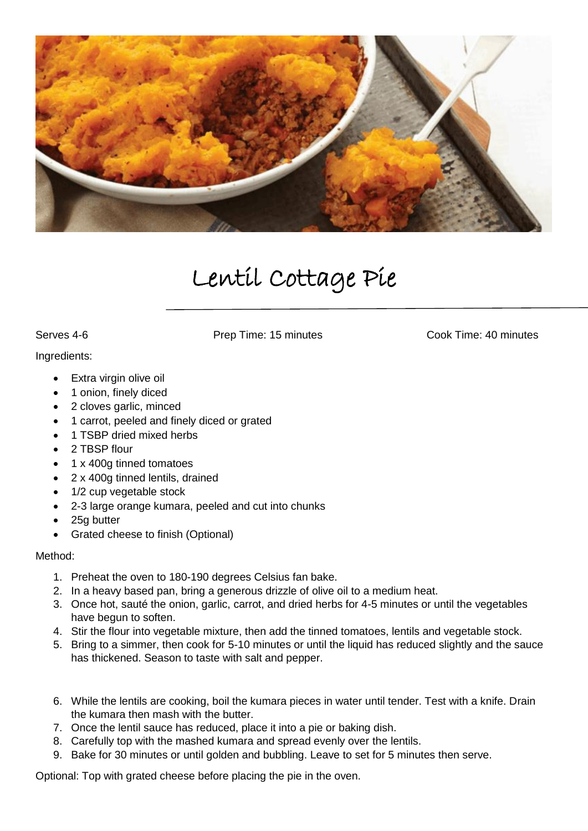![](_page_2_Picture_0.jpeg)

## Lentil Cottage Pie

Serves 4-6 Prep Time: 15 minutes Cook Time: 40 minutes

#### Ingredients:

- Extra virgin olive oil
- 1 onion, finely diced
- 2 cloves garlic, minced
- 1 carrot, peeled and finely diced or grated
- 1 TSBP dried mixed herbs
- 2 TBSP flour
- 1 x 400g tinned tomatoes
- 2 x 400g tinned lentils, drained
- 1/2 cup vegetable stock
- 2-3 large orange kumara, peeled and cut into chunks
- 25g butter
- Grated cheese to finish (Optional)

### Method:

- 1. Preheat the oven to 180-190 degrees Celsius fan bake.
- 2. In a heavy based pan, bring a generous drizzle of olive oil to a medium heat.
- 3. Once hot, sauté the onion, garlic, carrot, and dried herbs for 4-5 minutes or until the vegetables have begun to soften.
- 4. Stir the flour into vegetable mixture, then add the tinned tomatoes, lentils and vegetable stock.
- 5. Bring to a simmer, then cook for 5-10 minutes or until the liquid has reduced slightly and the sauce has thickened. Season to taste with salt and pepper.
- 6. While the lentils are cooking, boil the kumara pieces in water until tender. Test with a knife. Drain the kumara then mash with the butter.
- 7. Once the lentil sauce has reduced, place it into a pie or baking dish.
- 8. Carefully top with the mashed kumara and spread evenly over the lentils.
- 9. Bake for 30 minutes or until golden and bubbling. Leave to set for 5 minutes then serve.

Optional: Top with grated cheese before placing the pie in the oven.